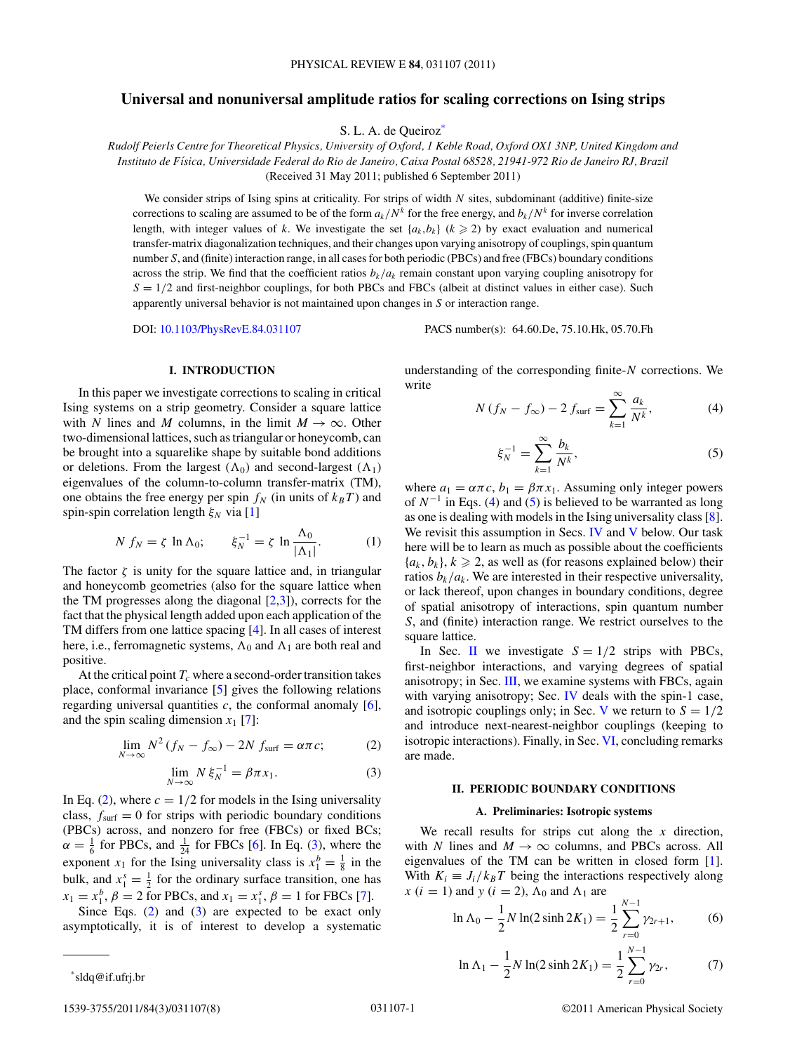# <span id="page-0-0"></span>**Universal and nonuniversal amplitude ratios for scaling corrections on Ising strips**

S. L. A. de Queiroz<sup>\*</sup>

*Rudolf Peierls Centre for Theoretical Physics, University of Oxford, 1 Keble Road, Oxford OX1 3NP, United Kingdom and Instituto de F´ısica, Universidade Federal do Rio de Janeiro, Caixa Postal 68528, 21941-972 Rio de Janeiro RJ, Brazil* (Received 31 May 2011; published 6 September 2011)

We consider strips of Ising spins at criticality. For strips of width *N* sites, subdominant (additive) finite-size corrections to scaling are assumed to be of the form  $a_k/N^k$  for the free energy, and  $b_k/N^k$  for inverse correlation length, with integer values of *k*. We investigate the set  ${a_k, b_k}$  ( $k \ge 2$ ) by exact evaluation and numerical transfer-matrix diagonalization techniques, and their changes upon varying anisotropy of couplings, spin quantum number *S*, and (finite) interaction range, in all cases for both periodic (PBCs) and free (FBCs) boundary conditions across the strip. We find that the coefficient ratios  $b_k/a_k$  remain constant upon varying coupling anisotropy for  $S = 1/2$  and first-neighbor couplings, for both PBCs and FBCs (albeit at distinct values in either case). Such apparently universal behavior is not maintained upon changes in *S* or interaction range.

DOI: [10.1103/PhysRevE.84.031107](http://dx.doi.org/10.1103/PhysRevE.84.031107) PACS number(s): 64*.*60*.*De, 75*.*10*.*Hk, 05*.*70*.*Fh

#### **I. INTRODUCTION**

In this paper we investigate corrections to scaling in critical Ising systems on a strip geometry. Consider a square lattice with *N* lines and *M* columns, in the limit  $M \to \infty$ . Other two-dimensional lattices, such as triangular or honeycomb, can be brought into a squarelike shape by suitable bond additions or deletions. From the largest  $(\Lambda_0)$  and second-largest  $(\Lambda_1)$ eigenvalues of the column-to-column transfer-matrix (TM), one obtains the free energy per spin  $f_N$  (in units of  $k_B T$ ) and spin-spin correlation length  $ξ_N$  via [\[1\]](#page-6-0)

$$
N f_N = \zeta \ln \Lambda_0; \qquad \xi_N^{-1} = \zeta \ln \frac{\Lambda_0}{|\Lambda_1|}.
$$
 (1)

The factor  $\zeta$  is unity for the square lattice and, in triangular and honeycomb geometries (also for the square lattice when the TM progresses along the diagonal  $[2,3]$ ), corrects for the fact that the physical length added upon each application of the TM differs from one lattice spacing [\[4\]](#page-6-0). In all cases of interest here, i.e., ferromagnetic systems,  $\Lambda_0$  and  $\Lambda_1$  are both real and positive.

At the critical point  $T_c$  where a second-order transition takes place, conformal invariance [\[5\]](#page-6-0) gives the following relations regarding universal quantities  $c$ , the conformal anomaly  $[6]$ , and the spin scaling dimension  $x_1$  [\[7\]](#page-6-0):

$$
\lim_{N \to \infty} N^2 (f_N - f_\infty) - 2N f_{\text{surf}} = \alpha \pi c; \tag{2}
$$

$$
\lim_{N \to \infty} N \, \xi_N^{-1} = \beta \pi \, x_1. \tag{3}
$$

In Eq. (2), where  $c = 1/2$  for models in the Ising universality class,  $f<sub>surf</sub> = 0$  for strips with periodic boundary conditions (PBCs) across, and nonzero for free (FBCs) or fixed BCs;  $\alpha = \frac{1}{6}$  for PBCs, and  $\frac{1}{24}$  for FBCs [\[6\]](#page-6-0). In Eq. (3), where the exponent  $x_1$  for the Ising universality class is  $x_1^b = \frac{1}{8}$  in the bulk, and  $x_1^s = \frac{1}{2}$  for the ordinary surface transition, one has  $x_1 = x_1^b$ ,  $\beta = 2$  for PBCs, and  $x_1 = x_1^s$ ,  $\beta = 1$  for FBCs [\[7\]](#page-6-0).

Since Eqs. (2) and (3) are expected to be exact only asymptotically, it is of interest to develop a systematic

\*sldq@if.ufrj.br

$$
2755/2011/21(2) /221127(2)
$$

understanding of the corresponding finite-*N* corrections. We write

$$
N(f_N - f_\infty) - 2 f_{\text{surf}} = \sum_{k=1}^{\infty} \frac{a_k}{N^k},
$$
 (4)

$$
\xi_N^{-1} = \sum_{k=1}^{\infty} \frac{b_k}{N^k},
$$
\n(5)

where  $a_1 = \alpha \pi c$ ,  $b_1 = \beta \pi x_1$ . Assuming only integer powers of *N*−<sup>1</sup> in Eqs. (4) and (5) is believed to be warranted as long as one is dealing with models in the Ising universality class [\[8\]](#page-6-0). We revisit this assumption in Secs. [IV](#page-4-0) and [V](#page-5-0) below. Our task here will be to learn as much as possible about the coefficients  ${a_k, b_k}, k \geq 2$ , as well as (for reasons explained below) their ratios  $b_k/a_k$ . We are interested in their respective universality, or lack thereof, upon changes in boundary conditions, degree of spatial anisotropy of interactions, spin quantum number *S*, and (finite) interaction range. We restrict ourselves to the square lattice.

In Sec. II we investigate  $S = 1/2$  strips with PBCs, first-neighbor interactions, and varying degrees of spatial anisotropy; in Sec. [III,](#page-2-0) we examine systems with FBCs, again with varying anisotropy; Sec. [IV](#page-4-0) deals with the spin-1 case, and isotropic couplings only; in Sec. [V](#page-5-0) we return to  $S = 1/2$ and introduce next-nearest-neighbor couplings (keeping to isotropic interactions). Finally, in Sec. [VI,](#page-6-0) concluding remarks are made.

### **II. PERIODIC BOUNDARY CONDITIONS**

#### **A. Preliminaries: Isotropic systems**

We recall results for strips cut along the *x* direction, with *N* lines and  $M \rightarrow \infty$  columns, and PBCs across. All eigenvalues of the TM can be written in closed form [\[1\]](#page-6-0). With  $K_i \equiv J_i/k_B T$  being the interactions respectively along  $x(i = 1)$  and  $y(i = 2)$ ,  $\Lambda_0$  and  $\Lambda_1$  are

$$
\ln \Lambda_0 - \frac{1}{2} N \ln(2 \sinh 2K_1) = \frac{1}{2} \sum_{r=0}^{N-1} \gamma_{2r+1},
$$
 (6)

$$
\ln \Lambda_1 - \frac{1}{2} N \ln(2 \sinh 2K_1) = \frac{1}{2} \sum_{r=0}^{N-1} \gamma_{2r},
$$
 (7)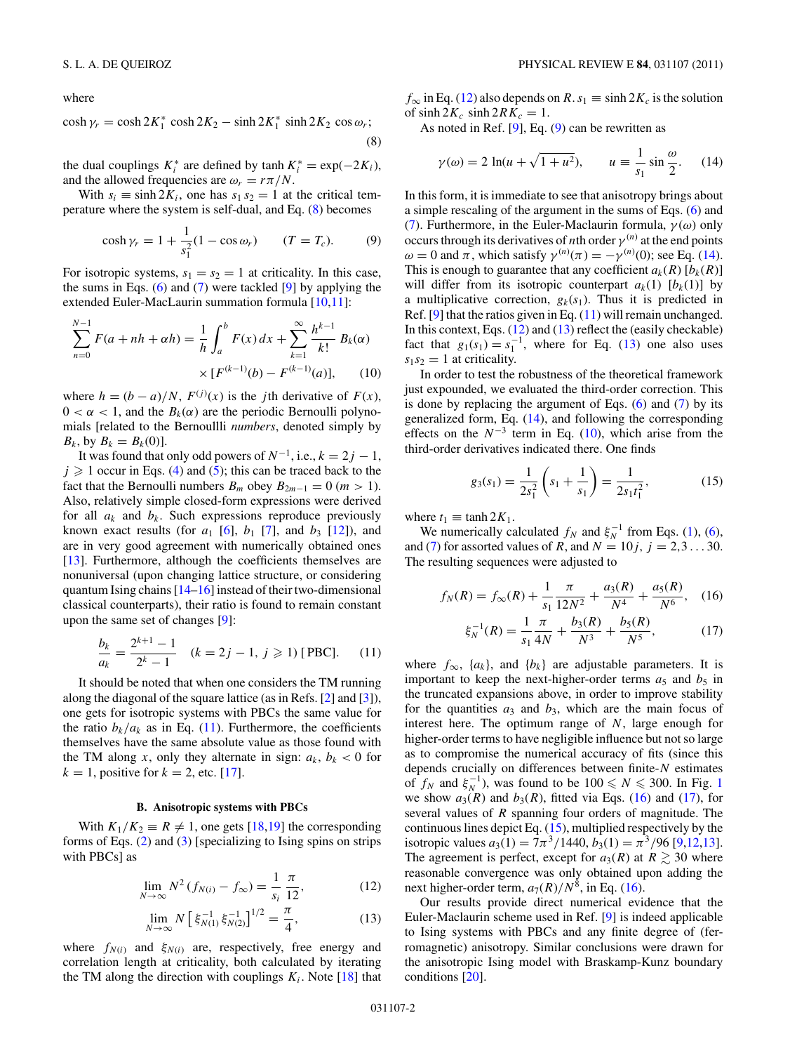<span id="page-1-0"></span>where

$$
\cosh \gamma_r = \cosh 2K_1^* \cosh 2K_2 - \sinh 2K_1^* \sinh 2K_2 \cos \omega_r;
$$
\n(8)

the dual couplings  $K_i^*$  are defined by  $\tanh K_i^* = \exp(-2K_i)$ , and the allowed frequencies are  $\omega_r = r \pi / N$ .

With  $s_i \equiv \sinh 2K_i$ , one has  $s_1 s_2 = 1$  at the critical temperature where the system is self-dual, and Eq. (8) becomes

$$
\cosh \gamma_r = 1 + \frac{1}{s_1^2} (1 - \cos \omega_r) \qquad (T = T_c). \tag{9}
$$

For isotropic systems,  $s_1 = s_2 = 1$  at criticality. In this case, the sums in Eqs.  $(6)$  and  $(7)$  were tackled  $[9]$  by applying the extended Euler-MacLaurin summation formula [\[10](#page-6-0)[,11\]](#page-7-0):

$$
\sum_{n=0}^{N-1} F(a+nh+\alpha h) = \frac{1}{h} \int_{a}^{b} F(x) dx + \sum_{k=1}^{\infty} \frac{h^{k-1}}{k!} B_k(\alpha)
$$

$$
\times [F^{(k-1)}(b) - F^{(k-1)}(a)], \qquad (10)
$$

where  $h = (b - a)/N$ ,  $F^{(j)}(x)$  is the *j*th derivative of  $F(x)$ ,  $0 < \alpha < 1$ , and the  $B_k(\alpha)$  are the periodic Bernoulli polynomials [related to the Bernoullli *numbers*, denoted simply by  $B_k$ , by  $B_k = B_k(0)$ .

It was found that only odd powers of  $N^{-1}$ , i.e.,  $k = 2j - 1$ ,  $j \geq 1$  occur in Eqs. [\(4\)](#page-0-0) and [\(5\)](#page-0-0); this can be traced back to the fact that the Bernoulli numbers  $B_m$  obey  $B_{2m-1} = 0$  (*m* > 1). Also, relatively simple closed-form expressions were derived for all  $a_k$  and  $b_k$ . Such expressions reproduce previously known exact results (for  $a_1$  [\[6\]](#page-6-0),  $b_1$  [\[7\]](#page-6-0), and  $b_3$  [\[12\]](#page-7-0)), and are in very good agreement with numerically obtained ones [\[13\]](#page-7-0). Furthermore, although the coefficients themselves are nonuniversal (upon changing lattice structure, or considering quantum Ising chains [\[14–16\]](#page-7-0) instead of their two-dimensional classical counterparts), their ratio is found to remain constant upon the same set of changes [\[9\]](#page-6-0):

$$
\frac{b_k}{a_k} = \frac{2^{k+1} - 1}{2^k - 1} \quad (k = 2j - 1, j \ge 1) \text{ [PBC]}.
$$
 (11)

It should be noted that when one considers the TM running along the diagonal of the square lattice (as in Refs. [\[2\]](#page-6-0) and [\[3\]](#page-6-0)), one gets for isotropic systems with PBCs the same value for the ratio  $b_k/a_k$  as in Eq. (11). Furthermore, the coefficients themselves have the same absolute value as those found with the TM along *x*, only they alternate in sign:  $a_k$ ,  $b_k$  < 0 for  $k = 1$ , positive for  $k = 2$ , etc. [\[17\]](#page-7-0).

## **B. Anisotropic systems with PBCs**

With  $K_1/K_2 \equiv R \neq 1$ , one gets [\[18,19\]](#page-7-0) the corresponding forms of Eqs. [\(2\)](#page-0-0) and [\(3\)](#page-0-0) [specializing to Ising spins on strips with PBCs] as

$$
\lim_{N \to \infty} N^2 (f_{N(i)} - f_{\infty}) = \frac{1}{s_i} \frac{\pi}{12},
$$
\n(12)

$$
\lim_{N \to \infty} N \left[ \xi_{N(1)}^{-1} \xi_{N(2)}^{-1} \right]^{1/2} = \frac{\pi}{4},\tag{13}
$$

where  $f_{N(i)}$  and  $\xi_{N(i)}$  are, respectively, free energy and correlation length at criticality, both calculated by iterating the TM along the direction with couplings  $K_i$ . Note [\[18\]](#page-7-0) that

 $f_{\infty}$  in Eq. (12) also depends on *R*.  $s_1 \equiv \sinh 2K_c$  is the solution of  $sinh 2K_c$   $sinh 2RK_c = 1$ .

As noted in Ref.  $[9]$ , Eq.  $(9)$  can be rewritten as

$$
\gamma(\omega) = 2 \ln(u + \sqrt{1 + u^2}), \qquad u \equiv \frac{1}{s_1} \sin \frac{\omega}{2}.
$$
 (14)

In this form, it is immediate to see that anisotropy brings about a simple rescaling of the argument in the sums of Eqs. [\(6\)](#page-0-0) and [\(7\)](#page-0-0). Furthermore, in the Euler-Maclaurin formula, *γ* (*ω*) only occurs through its derivatives of *n*th order  $\gamma^{(n)}$  at the end points *ω* = 0 and *π*, which satisfy  $γ<sup>(n)</sup>(π) = −γ<sup>(n)</sup>(0)$ ; see Eq. (14). This is enough to guarantee that any coefficient  $a_k(R)$  [ $b_k(R)$ ] will differ from its isotropic counterpart  $a_k(1)$  [ $b_k(1)$ ] by a multiplicative correction,  $g_k(s_1)$ . Thus it is predicted in Ref. [\[9\]](#page-6-0) that the ratios given in Eq. (11) will remain unchanged. In this context, Eqs. (12) and (13) reflect the (easily checkable) fact that  $g_1(s_1) = s_1^{-1}$ , where for Eq. (13) one also uses  $s_1 s_2 = 1$  at criticality.

In order to test the robustness of the theoretical framework just expounded, we evaluated the third-order correction. This is done by replacing the argument of Eqs.  $(6)$  and  $(7)$  by its generalized form, Eq. (14), and following the corresponding effects on the  $N^{-3}$  term in Eq. (10), which arise from the third-order derivatives indicated there. One finds

$$
g_3(s_1) = \frac{1}{2s_1^2} \left( s_1 + \frac{1}{s_1} \right) = \frac{1}{2s_1t_1^2},\tag{15}
$$

where  $t_1 \equiv \tanh 2K_1$ .

We numerically calculated  $f_N$  and  $\xi_N^{-1}$  from Eqs. [\(1\)](#page-0-0), [\(6\)](#page-0-0), and [\(7\)](#page-0-0) for assorted values of *R*, and  $N = 10j$ ,  $j = 2,3...30$ . The resulting sequences were adjusted to

$$
f_N(R) = f_\infty(R) + \frac{1}{s_1} \frac{\pi}{12N^2} + \frac{a_3(R)}{N^4} + \frac{a_5(R)}{N^6}, \quad (16)
$$

$$
\xi_N^{-1}(R) = \frac{1}{s_1} \frac{\pi}{4N} + \frac{b_3(R)}{N^3} + \frac{b_5(R)}{N^5},\tag{17}
$$

where  $f_{\infty}$ ,  $\{a_k\}$ , and  $\{b_k\}$  are adjustable parameters. It is important to keep the next-higher-order terms  $a_5$  and  $b_5$  in the truncated expansions above, in order to improve stability for the quantities  $a_3$  and  $b_3$ , which are the main focus of interest here. The optimum range of *N*, large enough for higher-order terms to have negligible influence but not so large as to compromise the numerical accuracy of fits (since this depends crucially on differences between finite-*N* estimates of  $f_N$  and  $\xi_N^{-1}$  $\xi_N^{-1}$  $\xi_N^{-1}$ ), was found to be  $100 \le N \le 300$ . In Fig. 1 we show  $a_3(R)$  and  $b_3(R)$ , fitted via Eqs. (16) and (17), for several values of *R* spanning four orders of magnitude. The continuous lines depict Eq. (15), multiplied respectively by the isotropic values  $a_3(1) = 7\pi^3/1440$ ,  $b_3(1) = \pi^3/96$  [\[9](#page-6-0)[,12,13\]](#page-7-0). The agreement is perfect, except for  $a_3(R)$  at  $R \geq 30$  where reasonable convergence was only obtained upon adding the next higher-order term,  $a_7(R)/N^8$ , in Eq. (16).

Our results provide direct numerical evidence that the Euler-Maclaurin scheme used in Ref. [\[9\]](#page-6-0) is indeed applicable to Ising systems with PBCs and any finite degree of (ferromagnetic) anisotropy. Similar conclusions were drawn for the anisotropic Ising model with Braskamp-Kunz boundary conditions [\[20\]](#page-7-0).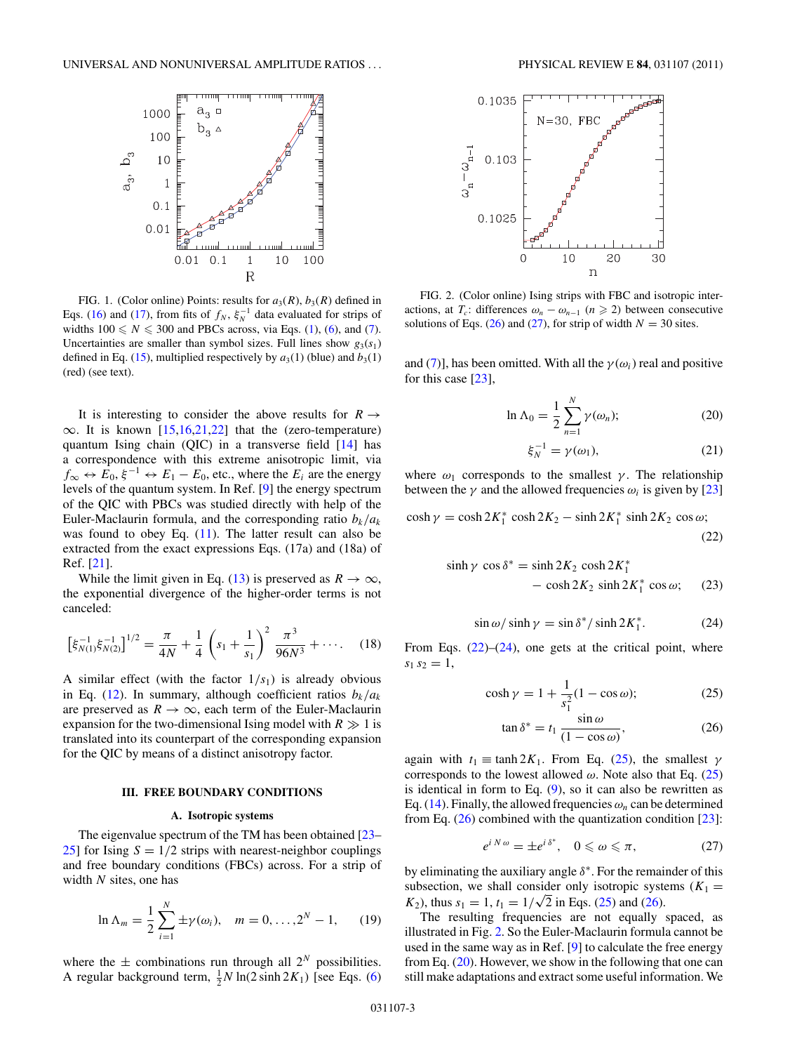<span id="page-2-0"></span>

FIG. 1. (Color online) Points: results for  $a_3(R)$ ,  $b_3(R)$  defined in Eqs. [\(16\)](#page-1-0) and [\(17\)](#page-1-0), from fits of  $f_N$ ,  $\xi_N^{-1}$  data evaluated for strips of widths  $100 \leq N \leq 300$  and PBCs across, via Eqs. [\(1\)](#page-0-0), [\(6\)](#page-0-0), and [\(7\)](#page-0-0). Uncertainties are smaller than symbol sizes. Full lines show  $g_3(s_1)$ defined in Eq. [\(15\)](#page-1-0), multiplied respectively by  $a_3(1)$  (blue) and  $b_3(1)$ (red) (see text).

It is interesting to consider the above results for  $R \rightarrow$  $\infty$ . It is known [\[15,16,21,22\]](#page-7-0) that the (zero-temperature) quantum Ising chain (QIC) in a transverse field [\[14\]](#page-7-0) has a correspondence with this extreme anisotropic limit, via  $f_{\infty} \leftrightarrow E_0$ ,  $\xi^{-1} \leftrightarrow E_1 - E_0$ , etc., where the  $E_i$  are the energy levels of the quantum system. In Ref. [\[9\]](#page-6-0) the energy spectrum of the QIC with PBCs was studied directly with help of the Euler-Maclaurin formula, and the corresponding ratio  $b_k/a_k$ was found to obey Eq.  $(11)$ . The latter result can also be extracted from the exact expressions Eqs. (17a) and (18a) of Ref. [\[21\]](#page-7-0).

While the limit given in Eq. [\(13\)](#page-1-0) is preserved as  $R \to \infty$ , the exponential divergence of the higher-order terms is not canceled:

$$
\left[\xi_{N(1)}^{-1}\xi_{N(2)}^{-1}\right]^{1/2} = \frac{\pi}{4N} + \frac{1}{4}\left(s_1 + \frac{1}{s_1}\right)^2\frac{\pi^3}{96N^3} + \cdots. \tag{18}
$$

A similar effect (with the factor  $1/s<sub>1</sub>$ ) is already obvious in Eq. [\(12\)](#page-1-0). In summary, although coefficient ratios  $b_k/a_k$ are preserved as  $R \rightarrow \infty$ , each term of the Euler-Maclaurin expansion for the two-dimensional Ising model with  $R \gg 1$  is translated into its counterpart of the corresponding expansion for the QIC by means of a distinct anisotropy factor.

#### **III. FREE BOUNDARY CONDITIONS**

### **A. Isotropic systems**

The eigenvalue spectrum of the TM has been obtained [\[23–](#page-7-0) [25\]](#page-7-0) for Ising  $S = 1/2$  strips with nearest-neighbor couplings and free boundary conditions (FBCs) across. For a strip of width *N* sites, one has

$$
\ln \Lambda_m = \frac{1}{2} \sum_{i=1}^N \pm \gamma(\omega_i), \quad m = 0, \dots, 2^N - 1, \quad (19)
$$

where the  $\pm$  combinations run through all  $2^N$  possibilities. A regular background term,  $\frac{1}{2}N \ln(2 \sinh 2K_1)$  [see Eqs. [\(6\)](#page-0-0)



FIG. 2. (Color online) Ising strips with FBC and isotropic interactions, at  $T_c$ : differences  $\omega_n - \omega_{n-1}$   $(n \geq 2)$  between consecutive solutions of Eqs. (26) and (27), for strip of width  $N = 30$  sites.

and [\(7\)](#page-0-0)], has been omitted. With all the  $\gamma(\omega_i)$  real and positive for this case [\[23\]](#page-7-0),

$$
\ln \Lambda_0 = \frac{1}{2} \sum_{n=1}^{N} \gamma(\omega_n); \tag{20}
$$

$$
\xi_N^{-1} = \gamma(\omega_1),\tag{21}
$$

where  $\omega_1$  corresponds to the smallest *γ*. The relationship between the  $\gamma$  and the allowed frequencies  $\omega_i$  is given by [\[23\]](#page-7-0)

$$
\cosh \gamma = \cosh 2K_1^* \cosh 2K_2 - \sinh 2K_1^* \sinh 2K_2 \cos \omega; \tag{22}
$$

$$
sinh \gamma \cos \delta^* = \sinh 2K_2 \cosh 2K_1^*
$$
  
- 
$$
-\cosh 2K_2 \sinh 2K_1^* \cos \omega; \quad (23)
$$

$$
\sin \omega / \sinh \gamma = \sin \delta^* / \sinh 2K_1^*.
$$
 (24)

From Eqs.  $(22)$ – $(24)$ , one gets at the critical point, where  $s_1 s_2 = 1$ ,

$$
\cosh \gamma = 1 + \frac{1}{s_1^2} (1 - \cos \omega);
$$
 (25)

$$
\tan \delta^* = t_1 \, \frac{\sin \omega}{(1 - \cos \omega)},\tag{26}
$$

again with  $t_1 \equiv \tanh 2K_1$ . From Eq. (25), the smallest  $\gamma$ corresponds to the lowest allowed *ω*. Note also that Eq. (25) is identical in form to Eq.  $(9)$ , so it can also be rewritten as Eq. [\(14\)](#page-1-0). Finally, the allowed frequencies  $\omega_n$  can be determined from Eq.  $(26)$  combined with the quantization condition  $[23]$ :

$$
e^{i\,N\,\omega} = \pm e^{i\,\delta^*}, \quad 0 \leq \omega \leq \pi, \tag{27}
$$

by eliminating the auxiliary angle *δ*<sup>∗</sup>. For the remainder of this subsection, we shall consider only isotropic systems  $(K_1 =$ subsection, we shall consider only isotropic system  $K_2$ ), thus  $s_1 = 1$ ,  $t_1 = 1/\sqrt{2}$  in Eqs. (25) and (26).

The resulting frequencies are not equally spaced, as illustrated in Fig. 2. So the Euler-Maclaurin formula cannot be used in the same way as in Ref. [\[9\]](#page-6-0) to calculate the free energy from Eq. (20). However, we show in the following that one can still make adaptations and extract some useful information. We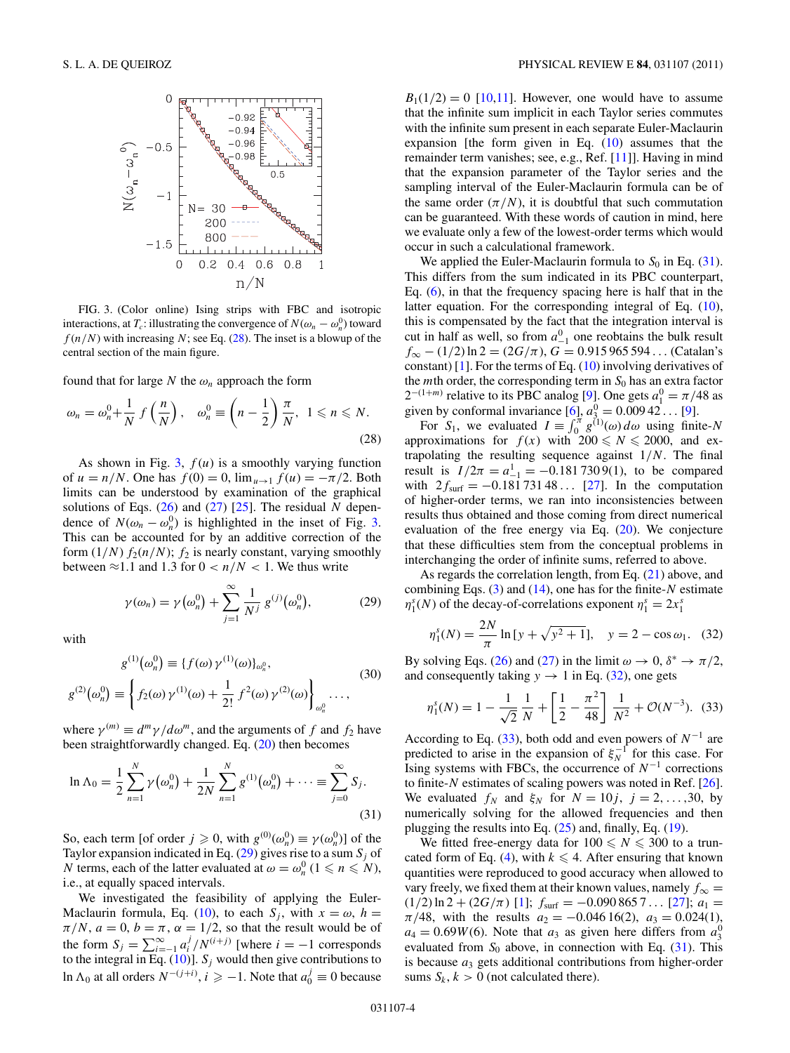<span id="page-3-0"></span>

FIG. 3. (Color online) Ising strips with FBC and isotropic interactions, at *T<sub>c</sub>*: illustrating the convergence of  $N(\omega_n - \omega_n^0)$  toward  $f(n/N)$  with increasing N; see Eq. (28). The inset is a blowup of the central section of the main figure.

found that for large N the  $\omega_n$  approach the form

$$
\omega_n = \omega_n^0 + \frac{1}{N} f\left(\frac{n}{N}\right), \quad \omega_n^0 \equiv \left(n - \frac{1}{2}\right) \frac{\pi}{N}, \ 1 \le n \le N. \tag{28}
$$

As shown in Fig.  $3, f(u)$  is a smoothly varying function of  $u = n/N$ . One has  $f(0) = 0$ ,  $\lim_{u \to 1} f(u) = -\pi/2$ . Both limits can be understood by examination of the graphical solutions of Eqs. [\(26\)](#page-2-0) and [\(27\)](#page-2-0) [\[25\]](#page-7-0). The residual *N* dependence of  $N(\omega_n - \omega_n^0)$  is highlighted in the inset of Fig. 3. This can be accounted for by an additive correction of the form  $(1/N) f_2(n/N)$ ;  $f_2$  is nearly constant, varying smoothly between  $\approx$ 1.1 and 1.3 for  $0 < n/N < 1$ . We thus write

$$
\gamma(\omega_n) = \gamma(\omega_n^0) + \sum_{j=1}^{\infty} \frac{1}{N^j} g^{(j)}(\omega_n^0),
$$
 (29)

with

$$
g^{(1)}(\omega_n^0) \equiv \{f(\omega)\gamma^{(1)}(\omega)\}_{\omega_n^0},
$$
  

$$
g^{(2)}(\omega_n^0) \equiv \left\{f_2(\omega)\gamma^{(1)}(\omega) + \frac{1}{2!}f^2(\omega)\gamma^{(2)}(\omega)\right\}_{\omega_n^0} \dots,
$$
 (30)

where  $\gamma^{(m)} \equiv d^m \gamma / d\omega^m$ , and the arguments of *f* and *f*<sub>2</sub> have been straightforwardly changed. Eq. [\(20\)](#page-2-0) then becomes

$$
\ln \Lambda_0 = \frac{1}{2} \sum_{n=1}^N \gamma(\omega_n^0) + \frac{1}{2N} \sum_{n=1}^N g^{(1)}(\omega_n^0) + \dots \equiv \sum_{j=0}^\infty S_j.
$$
\n(31)

So, each term [of order  $j \ge 0$ , with  $g^{(0)}(\omega_n^0) \equiv \gamma(\omega_n^0)$ ] of the Taylor expansion indicated in Eq.  $(29)$  gives rise to a sum  $S_i$  of *N* terms, each of the latter evaluated at  $\omega = \omega_n^0$  ( $1 \le n \le N$ ), i.e., at equally spaced intervals.

We investigated the feasibility of applying the Euler-Maclaurin formula, Eq. [\(10\)](#page-1-0), to each  $S_j$ , with  $x = \omega$ ,  $h =$  $\pi/N$ ,  $a = 0$ ,  $b = \pi$ ,  $\alpha = 1/2$ , so that the result would be of the form  $S_j = \sum_{i=-1}^{\infty} a_i^j / N^{(i+j)}$  [where  $i = -1$  corresponds to the integral in Eq.  $(10)$ ].  $S_j$  would then give contributions to ln  $\Lambda$ <sup>0</sup> at all orders  $N^{-(j+i)}$ , *i* ≥ −1. Note that  $a_0^j$  ≡ 0 because

 $B_1(1/2) = 0$  [\[10](#page-6-0)[,11\]](#page-7-0). However, one would have to assume that the infinite sum implicit in each Taylor series commutes with the infinite sum present in each separate Euler-Maclaurin expansion [the form given in Eq.  $(10)$  assumes that the remainder term vanishes; see, e.g., Ref. [\[11\]](#page-7-0)]. Having in mind that the expansion parameter of the Taylor series and the sampling interval of the Euler-Maclaurin formula can be of the same order  $(\pi/N)$ , it is doubtful that such commutation can be guaranteed. With these words of caution in mind, here we evaluate only a few of the lowest-order terms which would occur in such a calculational framework.

We applied the Euler-Maclaurin formula to  $S_0$  in Eq. (31). This differs from the sum indicated in its PBC counterpart, Eq. [\(6\)](#page-0-0), in that the frequency spacing here is half that in the latter equation. For the corresponding integral of Eq. [\(10\)](#page-1-0), this is compensated by the fact that the integration interval is cut in half as well, so from  $a_{-1}^0$  one reobtains the bulk result *f*<sup>∞</sup> − (1*/*2) ln 2 = (2*G/π*), *G* = 0*.*915 965 594 *...* (Catalan's constant) [\[1\]](#page-6-0). For the terms of Eq.  $(10)$  involving derivatives of the *m*th order, the corresponding term in  $S_0$  has an extra factor  $2^{-(1+m)}$  relative to its PBC analog [\[9\]](#page-6-0). One gets  $a_1^0 = \pi/48$  as given by conformal invariance  $[6]$ ,  $a_{3}^{0} = 0.00942...$  [\[9\]](#page-6-0).

For  $S_1$ , we evaluated  $I = \int_0^{\pi} g^{(1)}(\omega) d\omega$  using finite-*N* approximations for  $f(x)$  with  $200 \le N \le 2000$ , and extrapolating the resulting sequence against 1*/N*. The final result is  $I/2\pi = a_{-1}^1 = -0.1817309(1)$ , to be compared with  $2f_{\text{surf}} = -0.18173148...$  [\[27\]](#page-7-0). In the computation of higher-order terms, we ran into inconsistencies between results thus obtained and those coming from direct numerical evaluation of the free energy via Eq.  $(20)$ . We conjecture that these difficulties stem from the conceptual problems in interchanging the order of infinite sums, referred to above.

As regards the correlation length, from Eq. [\(21\)](#page-2-0) above, and combining Eqs. [\(3\)](#page-0-0) and [\(14\)](#page-1-0), one has for the finite-*N* estimate  $\eta_1^s(N)$  of the decay-of-correlations exponent  $\eta_1^s = 2x_1^s$ 

$$
\eta_1^s(N) = \frac{2N}{\pi} \ln \left[ y + \sqrt{y^2 + 1} \right], \quad y = 2 - \cos \omega_1. \tag{32}
$$

By solving Eqs. [\(26\)](#page-2-0) and [\(27\)](#page-2-0) in the limit  $\omega \to 0$ ,  $\delta^* \to \pi/2$ , and consequently taking  $y \rightarrow 1$  in Eq. (32), one gets

$$
\eta_1^s(N) = 1 - \frac{1}{\sqrt{2}} \frac{1}{N} + \left[ \frac{1}{2} - \frac{\pi^2}{48} \right] \frac{1}{N^2} + \mathcal{O}(N^{-3}). \tag{33}
$$

According to Eq. (33), both odd and even powers of *N*<sup>−</sup><sup>1</sup> are predicted to arise in the expansion of  $\xi_N^{-1}$  for this case. For Ising systems with FBCs, the occurrence of *N*<sup>−</sup><sup>1</sup> corrections to finite-*N* estimates of scaling powers was noted in Ref. [\[26\]](#page-7-0). We evaluated  $f_N$  and  $\xi_N$  for  $N = 10j$ ,  $j = 2, ..., 30$ , by numerically solving for the allowed frequencies and then plugging the results into Eq. [\(25\)](#page-2-0) and, finally, Eq. [\(19\)](#page-2-0).

We fitted free-energy data for  $100 \le N \le 300$  to a trun-cated form of Eq. [\(4\)](#page-0-0), with  $k \leq 4$ . After ensuring that known quantities were reproduced to good accuracy when allowed to vary freely, we fixed them at their known values, namely  $f_{\infty} =$  $(1/2) \ln 2 + (2G/\pi)$  [\[1\]](#page-6-0);  $f_{\text{surf}} = -0.0908657...$  [\[27\]](#page-7-0);  $a_1 =$  $\pi/48$ , with the results  $a_2 = -0.04616(2)$ ,  $a_3 = 0.024(1)$ ,  $a_4 = 0.69W(6)$ . Note that  $a_3$  as given here differs from  $a_3^0$ evaluated from  $S_0$  above, in connection with Eq.  $(31)$ . This is because *a*<sup>3</sup> gets additional contributions from higher-order sums  $S_k$ ,  $k > 0$  (not calculated there).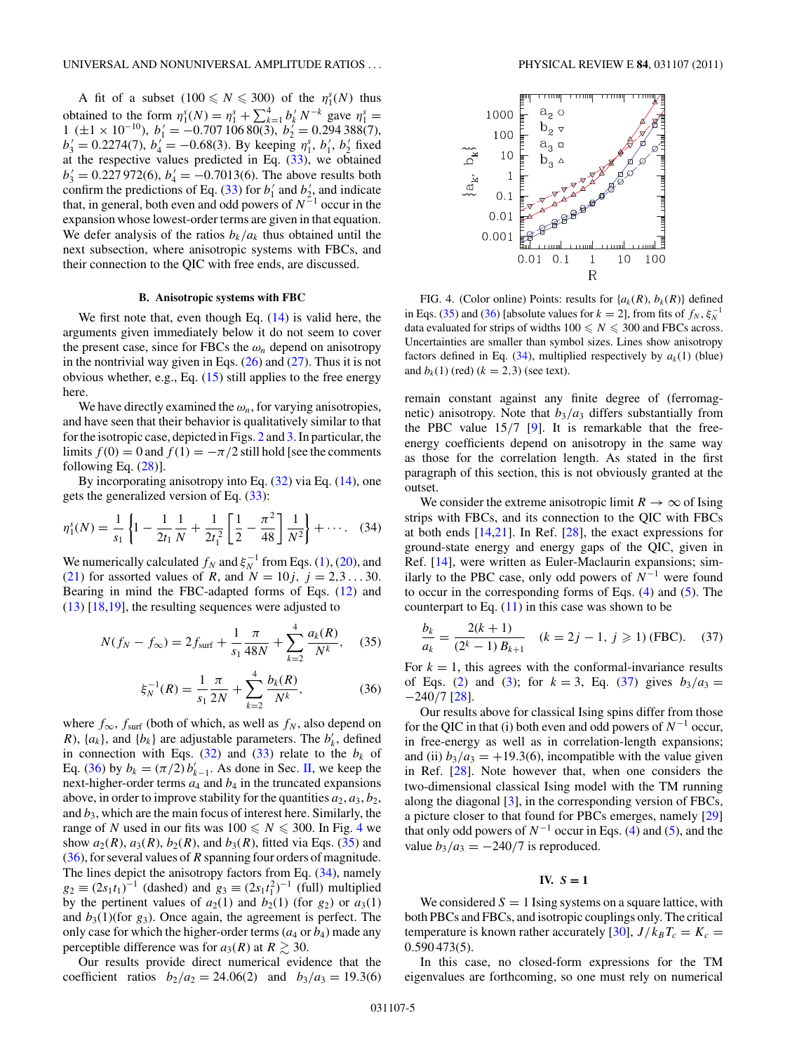<span id="page-4-0"></span>A fit of a subset  $(100 \le N \le 300)$  of the  $\eta_1^s(N)$  thus obtained to the form  $\eta_1^s(N) = \eta_1^s + \sum_{k=1}^4 b_k^j N^{-k}$  gave  $\eta_1^s =$  $1 (\pm 1 \times 10^{-10}), b'_1 = -0.70710680(3), b'_2 = 0.294388(7),$  $b'_3 = 0.2274(7)$ ,  $b'_4 = -0.68(3)$ . By keeping  $\eta_1^s$ ,  $b'_1$ ,  $b'_2$  fixed at the respective values predicted in Eq.  $(33)$ , we obtained  $b'_3 = 0.227972(6)$ ,  $b'_4 = -0.7013(6)$ . The above results both confirm the predictions of Eq. [\(33\)](#page-3-0) for  $b'_1$  and  $b'_2$ , and indicate that, in general, both even and odd powers of *N*<sup>−</sup><sup>1</sup> occur in the expansion whose lowest-order terms are given in that equation. We defer analysis of the ratios  $b_k/a_k$  thus obtained until the next subsection, where anisotropic systems with FBCs, and their connection to the QIC with free ends, are discussed.

### **B. Anisotropic systems with FBC**

We first note that, even though Eq.  $(14)$  is valid here, the arguments given immediately below it do not seem to cover the present case, since for FBCs the  $\omega_n$  depend on anisotropy in the nontrivial way given in Eqs.  $(26)$  and  $(27)$ . Thus it is not obvious whether, e.g., Eq. [\(15\)](#page-1-0) still applies to the free energy here.

We have directly examined the  $\omega_n$ , for varying anisotropies, and have seen that their behavior is qualitatively similar to that for the isotropic case, depicted in Figs. [2](#page-2-0) and [3.](#page-3-0) In particular, the limits  $f(0) = 0$  and  $f(1) = -\pi/2$  still hold [see the comments following Eq.  $(28)$ ].

By incorporating anisotropy into Eq.  $(32)$  via Eq.  $(14)$ , one gets the generalized version of Eq.  $(33)$ :

$$
\eta_1^s(N) = \frac{1}{s_1} \left\{ 1 - \frac{1}{2t_1} \frac{1}{N} + \frac{1}{2t_1^2} \left[ \frac{1}{2} - \frac{\pi^2}{48} \right] \frac{1}{N^2} \right\} + \cdots. \quad (34)
$$

We numerically calculated  $f_N$  and  $\xi_N^{-1}$  from Eqs. [\(1\)](#page-0-0), [\(20\)](#page-2-0), and [\(21\)](#page-2-0) for assorted values of *R*, and  $N = 10j, j = 2,3...30$ . Bearing in mind the FBC-adapted forms of Eqs. [\(12\)](#page-1-0) and [\(13\)](#page-1-0) [\[18,19\]](#page-7-0), the resulting sequences were adjusted to

$$
N(f_N - f_\infty) = 2f_{\text{surf}} + \frac{1}{s_1} \frac{\pi}{48N} + \sum_{k=2}^{4} \frac{a_k(R)}{N^k}, \quad (35)
$$

$$
\xi_N^{-1}(R) = \frac{1}{s_1} \frac{\pi}{2N} + \sum_{k=2}^4 \frac{b_k(R)}{N^k},\tag{36}
$$

where  $f_{\infty}$ ,  $f_{\text{surf}}$  (both of which, as well as  $f_N$ , also depend on *R*),  $\{a_k\}$ , and  $\{b_k\}$  are adjustable parameters. The  $b'_k$ , defined in connection with Eqs.  $(32)$  and  $(33)$  relate to the  $b_k$  of Eq. (36) by  $b_k = (\pi/2) b'_{k-1}$ . As done in Sec. [II,](#page-0-0) we keep the next-higher-order terms  $a_4$  and  $b_4$  in the truncated expansions above, in order to improve stability for the quantities  $a_2, a_3, b_2$ , and  $b_3$ , which are the main focus of interest here. Similarly, the range of *N* used in our fits was  $100 \le N \le 300$ . In Fig. 4 we show  $a_2(R)$ ,  $a_3(R)$ ,  $b_2(R)$ , and  $b_3(R)$ , fitted via Eqs. (35) and (36), for several values of *R* spanning four orders of magnitude. The lines depict the anisotropy factors from Eq. (34), namely  $g_2 \equiv (2s_1t_1)^{-1}$  (dashed) and  $g_3 \equiv (2s_1t_1^2)^{-1}$  (full) multiplied by the pertinent values of  $a_2(1)$  and  $b_2(1)$  (for  $g_2$ ) or  $a_3(1)$ and  $b_3(1)$ (for  $g_3$ ). Once again, the agreement is perfect. The only case for which the higher-order terms  $(a_4 \text{ or } b_4)$  made any perceptible difference was for  $a_3(R)$  at  $R \gtrsim 30$ .

Our results provide direct numerical evidence that the coefficient ratios  $b_2/a_2 = 24.06(2)$  and  $b_3/a_3 = 19.3(6)$ 



FIG. 4. (Color online) Points: results for  $\{a_k(R), b_k(R)\}$  defined in Eqs. (35) and (36) [absolute values for  $k = 2$ ], from fits of  $f_N$ ,  $\xi_N^{-1}$ data evaluated for strips of widths  $100 \leq N \leq 300$  and FBCs across. Uncertainties are smaller than symbol sizes. Lines show anisotropy factors defined in Eq.  $(34)$ , multiplied respectively by  $a_k(1)$  (blue) and  $b_k(1)$  (red)  $(k = 2,3)$  (see text).

remain constant against any finite degree of (ferromagnetic) anisotropy. Note that  $b_3/a_3$  differs substantially from the PBC value 15*/*7 [\[9\]](#page-6-0). It is remarkable that the freeenergy coefficients depend on anisotropy in the same way as those for the correlation length. As stated in the first paragraph of this section, this is not obviously granted at the outset.

We consider the extreme anisotropic limit  $R \to \infty$  of Ising strips with FBCs, and its connection to the QIC with FBCs at both ends  $[14,21]$ . In Ref.  $[28]$ , the exact expressions for ground-state energy and energy gaps of the QIC, given in Ref. [\[14\]](#page-7-0), were written as Euler-Maclaurin expansions; similarly to the PBC case, only odd powers of *N*−<sup>1</sup> were found to occur in the corresponding forms of Eqs.  $(4)$  and  $(5)$ . The counterpart to Eq.  $(11)$  in this case was shown to be

$$
\frac{b_k}{a_k} = \frac{2(k+1)}{(2^k - 1)B_{k+1}} \quad (k = 2j - 1, j \ge 1) \text{ (FBC).} \tag{37}
$$

For  $k = 1$ , this agrees with the conformal-invariance results of Eqs. [\(2\)](#page-0-0) and [\(3\)](#page-0-0); for  $k = 3$ , Eq. (37) gives  $b_3/a_3 =$ −240*/*7 [\[28\]](#page-7-0).

Our results above for classical Ising spins differ from those for the QIC in that (i) both even and odd powers of *N*<sup>−</sup><sup>1</sup> occur, in free-energy as well as in correlation-length expansions; and (ii)  $b_3/a_3 = +19.3(6)$ , incompatible with the value given in Ref. [\[28\]](#page-7-0). Note however that, when one considers the two-dimensional classical Ising model with the TM running along the diagonal [\[3\]](#page-6-0), in the corresponding version of FBCs, a picture closer to that found for PBCs emerges, namely [\[29\]](#page-7-0) that only odd powers of  $N^{-1}$  occur in Eqs. [\(4\)](#page-0-0) and [\(5\)](#page-0-0), and the value  $b_3/a_3 = -240/7$  is reproduced.

#### **IV.**  $S = 1$

We considered  $S = 1$  Ising systems on a square lattice, with both PBCs and FBCs, and isotropic couplings only. The critical temperature is known rather accurately [\[30\]](#page-7-0),  $J/k_B T_c = K_c$  = 0*.*590 473(5).

In this case, no closed-form expressions for the TM eigenvalues are forthcoming, so one must rely on numerical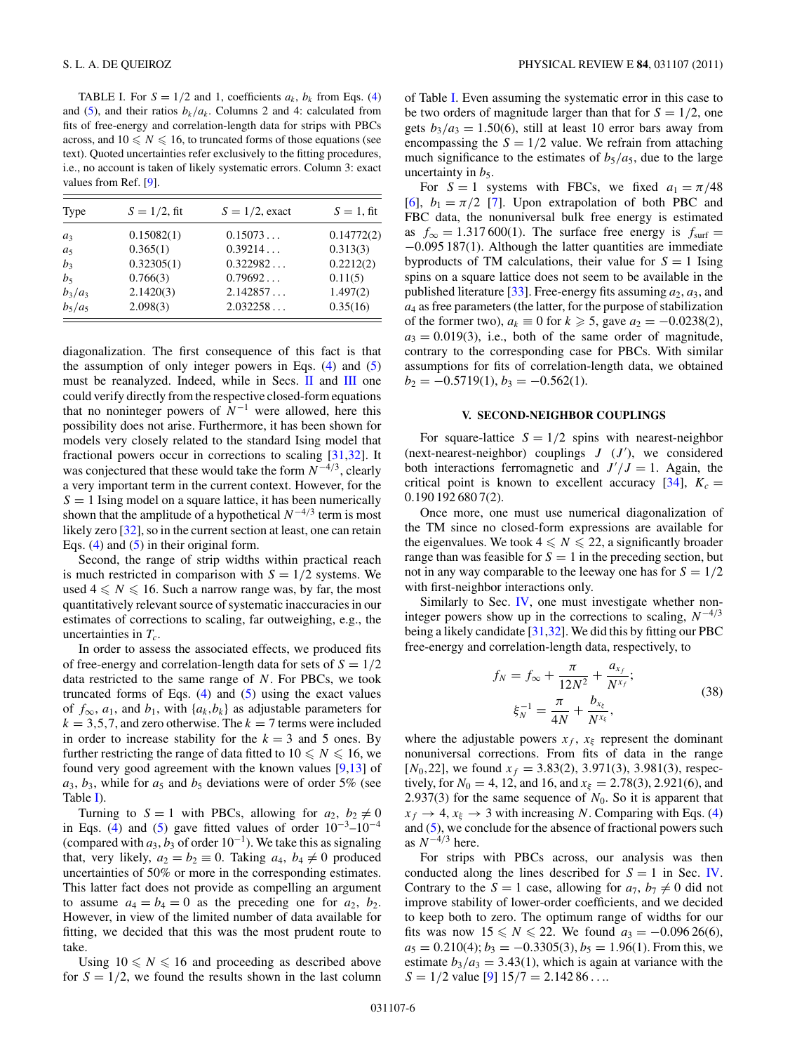<span id="page-5-0"></span>TABLE I. For  $S = 1/2$  and 1, coefficients  $a_k$ ,  $b_k$  from Eqs. [\(4\)](#page-0-0) and [\(5\)](#page-0-0), and their ratios  $b_k/a_k$ . Columns 2 and 4: calculated from fits of free-energy and correlation-length data for strips with PBCs across, and  $10 \leq N \leq 16$ , to truncated forms of those equations (see text). Quoted uncertainties refer exclusively to the fitting procedures, i.e., no account is taken of likely systematic errors. Column 3: exact values from Ref. [\[9\]](#page-6-0).

| Type      | $S = 1/2$ , fit | $S = 1/2$ , exact | $S = 1$ , fit |
|-----------|-----------------|-------------------|---------------|
| $a_3$     | 0.15082(1)      | 0.15073           | 0.14772(2)    |
| $a_5$     | 0.365(1)        | 0.39214           | 0.313(3)      |
| $b_3$     | 0.32305(1)      | 0.322982          | 0.2212(2)     |
| $b_5$     | 0.766(3)        | 0.79692           | 0.11(5)       |
| $b_3/a_3$ | 2.1420(3)       | 2.142857          | 1.497(2)      |
| $b_5/a_5$ | 2.098(3)        | 2.032258          | 0.35(16)      |

diagonalization. The first consequence of this fact is that the assumption of only integer powers in Eqs.  $(4)$  and  $(5)$ must be reanalyzed. Indeed, while in Secs. [II](#page-0-0) and [III](#page-2-0) one could verify directly from the respective closed-form equations that no noninteger powers of  $N^{-1}$  were allowed, here this possibility does not arise. Furthermore, it has been shown for models very closely related to the standard Ising model that fractional powers occur in corrections to scaling [\[31,32\]](#page-7-0). It was conjectured that these would take the form *N*−4*/*3, clearly a very important term in the current context. However, for the  $S = 1$  Ising model on a square lattice, it has been numerically shown that the amplitude of a hypothetical  $N^{-4/3}$  term is most likely zero [\[32\]](#page-7-0), so in the current section at least, one can retain Eqs. [\(4\)](#page-0-0) and [\(5\)](#page-0-0) in their original form.

Second, the range of strip widths within practical reach is much restricted in comparison with  $S = 1/2$  systems. We used  $4 \leq N \leq 16$ . Such a narrow range was, by far, the most quantitatively relevant source of systematic inaccuracies in our estimates of corrections to scaling, far outweighing, e.g., the uncertainties in  $T_c$ .

In order to assess the associated effects, we produced fits of free-energy and correlation-length data for sets of  $S = 1/2$ data restricted to the same range of *N*. For PBCs, we took truncated forms of Eqs.  $(4)$  and  $(5)$  using the exact values of  $f_{\infty}$ ,  $a_1$ , and  $b_1$ , with  $\{a_k, b_k\}$  as adjustable parameters for  $k = 3, 5, 7$ , and zero otherwise. The  $k = 7$  terms were included in order to increase stability for the  $k = 3$  and 5 ones. By further restricting the range of data fitted to  $10 \le N \le 16$ , we found very good agreement with the known values  $[9,13]$  $[9,13]$  of  $a_3$ ,  $b_3$ , while for  $a_5$  and  $b_5$  deviations were of order 5% (see Table I).

Turning to  $S = 1$  with PBCs, allowing for  $a_2$ ,  $b_2 \neq 0$ in Eqs. [\(4\)](#page-0-0) and [\(5\)](#page-0-0) gave fitted values of order  $10^{-3}-10^{-4}$ (compared with  $a_3$ ,  $b_3$  of order  $10^{-1}$ ). We take this as signaling that, very likely,  $a_2 = b_2 \equiv 0$ . Taking  $a_4$ ,  $b_4 \neq 0$  produced uncertainties of 50% or more in the corresponding estimates. This latter fact does not provide as compelling an argument to assume  $a_4 = b_4 = 0$  as the preceding one for  $a_2$ ,  $b_2$ . However, in view of the limited number of data available for fitting, we decided that this was the most prudent route to take.

Using  $10 \leq N \leq 16$  and proceeding as described above for  $S = 1/2$ , we found the results shown in the last column of Table I. Even assuming the systematic error in this case to be two orders of magnitude larger than that for  $S = 1/2$ , one gets  $b_3/a_3 = 1.50(6)$ , still at least 10 error bars away from encompassing the  $S = 1/2$  value. We refrain from attaching much significance to the estimates of  $b_5/a_5$ , due to the large uncertainty in  $b_5$ .

For  $S = 1$  systems with FBCs, we fixed  $a_1 = \pi/48$ [\[6\]](#page-6-0),  $b_1 = \pi/2$  [\[7\]](#page-6-0). Upon extrapolation of both PBC and FBC data, the nonuniversal bulk free energy is estimated as  $f_{\infty} = 1.317600(1)$ . The surface free energy is  $f_{\text{surf}} =$ −0*.*095 187(1). Although the latter quantities are immediate byproducts of TM calculations, their value for  $S = 1$  Ising spins on a square lattice does not seem to be available in the published literature [\[33\]](#page-7-0). Free-energy fits assuming  $a_2$ ,  $a_3$ , and *a*<sup>4</sup> as free parameters (the latter, for the purpose of stabilization of the former two),  $a_k$  ≡ 0 for  $k \ge 5$ , gave  $a_2 = -0.0238(2)$ ,  $a_3 = 0.019(3)$ , i.e., both of the same order of magnitude, contrary to the corresponding case for PBCs. With similar assumptions for fits of correlation-length data, we obtained  $b_2 = -0.5719(1), b_3 = -0.562(1).$ 

## **V. SECOND-NEIGHBOR COUPLINGS**

For square-lattice  $S = 1/2$  spins with nearest-neighbor (next-nearest-neighbor) couplings  $J$   $(J')$ , we considered both interactions ferromagnetic and  $J'/J = 1$ . Again, the critical point is known to excellent accuracy  $[34]$ ,  $K_c =$ 0*.*190 192 680 7(2).

Once more, one must use numerical diagonalization of the TM since no closed-form expressions are available for the eigenvalues. We took  $4 \leq N \leq 22$ , a significantly broader range than was feasible for  $S = 1$  in the preceding section, but not in any way comparable to the leeway one has for  $S = 1/2$ with first-neighbor interactions only.

Similarly to Sec. *, one must investigate whether non*integer powers show up in the corrections to scaling,  $N^{-4/3}$ being a likely candidate [\[31,32\]](#page-7-0). We did this by fitting our PBC free-energy and correlation-length data, respectively, to

$$
f_N = f_{\infty} + \frac{\pi}{12N^2} + \frac{a_{x_f}}{N^{x_f}};
$$
  

$$
\xi_N^{-1} = \frac{\pi}{4N} + \frac{b_{x_{\xi}}}{N^{x_{\xi}}},
$$
 (38)

where the adjustable powers  $x_f$ ,  $x_\xi$  represent the dominant nonuniversal corrections. From fits of data in the range  $[N_0, 22]$ , we found  $x_f = 3.83(2)$ , 3.971(3), 3.981(3), respectively, for  $N_0 = 4$ , 12, and 16, and  $x_\xi = 2.78(3)$ , 2.921(6), and 2.937(3) for the same sequence of  $N_0$ . So it is apparent that  $x_f \rightarrow 4$ ,  $x_\xi \rightarrow 3$  with increasing *N*. Comparing with Eqs. [\(4\)](#page-0-0) and [\(5\)](#page-0-0), we conclude for the absence of fractional powers such as *N*<sup>−</sup>4*/*<sup>3</sup> here.

For strips with PBCs across, our analysis was then conducted along the lines described for  $S = 1$  in Sec. [IV.](#page-4-0) Contrary to the  $S = 1$  case, allowing for  $a_7, b_7 \neq 0$  did not improve stability of lower-order coefficients, and we decided to keep both to zero. The optimum range of widths for our fits was now  $15 \le N \le 22$ . We found  $a_3 = -0.09626(6)$ ,  $a_5 = 0.210(4)$ ;  $b_3 = -0.3305(3)$ ,  $b_5 = 1.96(1)$ . From this, we estimate  $b_3/a_3 = 3.43(1)$ , which is again at variance with the *S* = 1*/*2 value [\[9\]](#page-6-0) 15*/*7 = 2*.*142 86 *...*.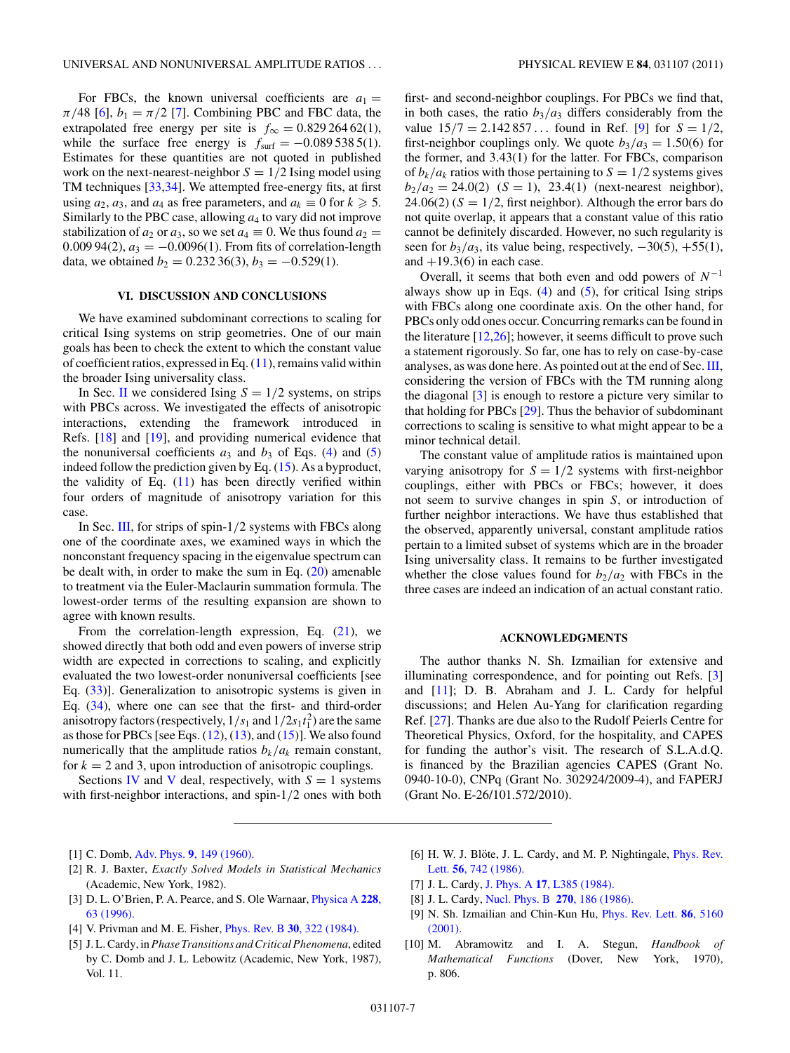<span id="page-6-0"></span>For FBCs, the known universal coefficients are  $a_1 =$ *π*/48 [6],  $b_1 = \pi/2$  [7]. Combining PBC and FBC data, the extrapolated free energy per site is  $f_{\infty} = 0.82926462(1)$ , while the surface free energy is  $f_{\text{surf}} = -0.0895385(1)$ . Estimates for these quantities are not quoted in published work on the next-nearest-neighbor  $S = 1/2$  Ising model using TM techniques [\[33,34\]](#page-7-0). We attempted free-energy fits, at first using  $a_2$ ,  $a_3$ , and  $a_4$  as free parameters, and  $a_k \equiv 0$  for  $k \geq 5$ . Similarly to the PBC case, allowing *a*<sup>4</sup> to vary did not improve stabilization of  $a_2$  or  $a_3$ , so we set  $a_4 \equiv 0$ . We thus found  $a_2 =$ 0.009 94(2),  $a_3 = -0.0096(1)$ . From fits of correlation-length data, we obtained  $b_2 = 0.23236(3)$ ,  $b_3 = -0.529(1)$ .

# **VI. DISCUSSION AND CONCLUSIONS**

We have examined subdominant corrections to scaling for critical Ising systems on strip geometries. One of our main goals has been to check the extent to which the constant value of coefficient ratios, expressed in Eq. [\(11\)](#page-1-0), remains valid within the broader Ising universality class.

In Sec. [II](#page-0-0) we considered Ising  $S = 1/2$  systems, on strips with PBCs across. We investigated the effects of anisotropic interactions, extending the framework introduced in Refs. [\[18\]](#page-7-0) and [\[19\]](#page-7-0), and providing numerical evidence that the nonuniversal coefficients  $a_3$  and  $b_3$  of Eqs. [\(4\)](#page-0-0) and [\(5\)](#page-0-0) indeed follow the prediction given by Eq.  $(15)$ . As a byproduct, the validity of Eq.  $(11)$  has been directly verified within four orders of magnitude of anisotropy variation for this case.

In Sec. [III,](#page-2-0) for strips of spin-1*/*2 systems with FBCs along one of the coordinate axes, we examined ways in which the nonconstant frequency spacing in the eigenvalue spectrum can be dealt with, in order to make the sum in Eq. [\(20\)](#page-2-0) amenable to treatment via the Euler-Maclaurin summation formula. The lowest-order terms of the resulting expansion are shown to agree with known results.

From the correlation-length expression, Eq. [\(21\)](#page-2-0), we showed directly that both odd and even powers of inverse strip width are expected in corrections to scaling, and explicitly evaluated the two lowest-order nonuniversal coefficients [see Eq. [\(33\)](#page-3-0)]. Generalization to anisotropic systems is given in Eq. [\(34\)](#page-4-0), where one can see that the first- and third-order anisotropy factors (respectively,  $1/s_1$  and  $1/2s_1t_1^2$ ) are the same as those for PBCs [see Eqs.  $(12)$ ,  $(13)$ , and  $(15)$ ]. We also found numerically that the amplitude ratios  $b_k/a_k$  remain constant, for  $k = 2$  and 3, upon introduction of anisotropic couplings.

Sections [IV](#page-4-0) and [V](#page-5-0) deal, respectively, with  $S = 1$  systems with first-neighbor interactions, and spin-1*/*2 ones with both

first- and second-neighbor couplings. For PBCs we find that, in both cases, the ratio  $b_3/a_3$  differs considerably from the value  $15/7 = 2.142857...$  found in Ref. [9] for  $S = 1/2$ , first-neighbor couplings only. We quote  $b_3/a_3 = 1.50(6)$  for the former, and 3*.*43(1) for the latter. For FBCs, comparison of  $b_k/a_k$  ratios with those pertaining to  $S = 1/2$  systems gives  $b_2/a_2 = 24.0(2)$  (*S* = 1), 23.4(1) (next-nearest neighbor), 24.06(2)  $(S = 1/2$ , first neighbor). Although the error bars do not quite overlap, it appears that a constant value of this ratio cannot be definitely discarded. However, no such regularity is seen for  $b_3/a_3$ , its value being, respectively,  $-30(5)$ ,  $+55(1)$ , and  $+19.3(6)$  in each case.

Overall, it seems that both even and odd powers of *N*<sup>−</sup><sup>1</sup> always show up in Eqs.  $(4)$  and  $(5)$ , for critical Ising strips with FBCs along one coordinate axis. On the other hand, for PBCs only odd ones occur. Concurring remarks can be found in the literature  $[12,26]$ ; however, it seems difficult to prove such a statement rigorously. So far, one has to rely on case-by-case analyses, as was done here. As pointed out at the end of Sec.[III,](#page-2-0) considering the version of FBCs with the TM running along the diagonal [3] is enough to restore a picture very similar to that holding for PBCs [\[29\]](#page-7-0). Thus the behavior of subdominant corrections to scaling is sensitive to what might appear to be a minor technical detail.

The constant value of amplitude ratios is maintained upon varying anisotropy for  $S = 1/2$  systems with first-neighbor couplings, either with PBCs or FBCs; however, it does not seem to survive changes in spin *S*, or introduction of further neighbor interactions. We have thus established that the observed, apparently universal, constant amplitude ratios pertain to a limited subset of systems which are in the broader Ising universality class. It remains to be further investigated whether the close values found for  $b_2/a_2$  with FBCs in the three cases are indeed an indication of an actual constant ratio.

### **ACKNOWLEDGMENTS**

The author thanks N. Sh. Izmailian for extensive and illuminating correspondence, and for pointing out Refs. [3] and [\[11\]](#page-7-0); D. B. Abraham and J. L. Cardy for helpful discussions; and Helen Au-Yang for clarification regarding Ref. [\[27\]](#page-7-0). Thanks are due also to the Rudolf Peierls Centre for Theoretical Physics, Oxford, for the hospitality, and CAPES for funding the author's visit. The research of S.L.A.d.Q. is financed by the Brazilian agencies CAPES (Grant No. 0940-10-0), CNPq (Grant No. 302924/2009-4), and FAPERJ (Grant No. E-26/101.572/2010).

- [1] C. Domb, Adv. Phys. **9**[, 149 \(1960\).](http://dx.doi.org/10.1080/00018736000101199)
- [2] R. J. Baxter, *Exactly Solved Models in Statistical Mechanics* (Academic, New York, 1982).
- [3] D. L. O'Brien, P. A. Pearce, and S. Ole Warnaar, [Physica A](http://dx.doi.org/10.1016/0378-4371(96)00055-6) **228**, [63 \(1996\).](http://dx.doi.org/10.1016/0378-4371(96)00055-6)
- [4] V. Privman and M. E. Fisher, Phys. Rev. B **30**[, 322 \(1984\).](http://dx.doi.org/10.1103/PhysRevB.30.322)
- [5] J. L. Cardy, in *Phase Transitions and Critical Phenomena*, edited by C. Domb and J. L. Lebowitz (Academic, New York, 1987), Vol. 11.
- [6] H. W. J. Blöte, J. L. Cardy, and M. P. Nightingale, *[Phys. Rev.](http://dx.doi.org/10.1103/PhysRevLett.56.742)* Lett. **56**[, 742 \(1986\).](http://dx.doi.org/10.1103/PhysRevLett.56.742)
- [7] J. L. Cardy, J. Phys. A **17**[, L385 \(1984\).](http://dx.doi.org/10.1088/0305-4470/17/7/003)
- [8] J. L. Cardy, [Nucl. Phys. B](http://dx.doi.org/10.1016/0550-3213(86)90552-3) **270**, 186 (1986).
- [9] N. Sh. Izmailian and Chin-Kun Hu, [Phys. Rev. Lett.](http://dx.doi.org/10.1103/PhysRevLett.86.5160) **86**, 5160 [\(2001\).](http://dx.doi.org/10.1103/PhysRevLett.86.5160)
- [10] M. Abramowitz and I. A. Stegun, *Handbook of Mathematical Functions* (Dover, New York, 1970), p. 806.